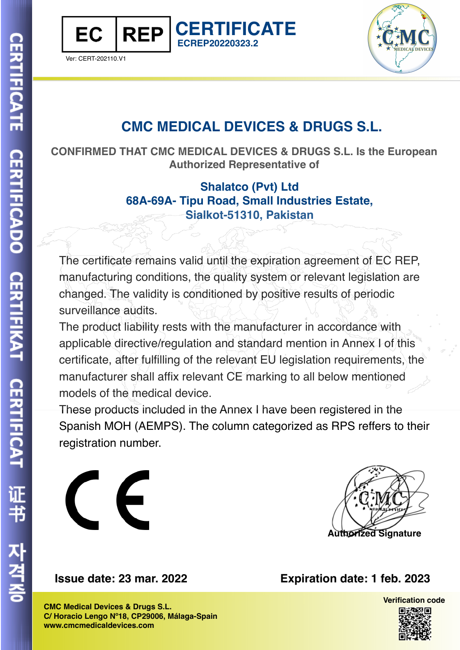



## **CMC MEDICAL DEVICES & DRUGS S.L.**

**CONFIRMED THAT CMC MEDICAL DEVICES & DRUGS S.L. Is the European Authorized Representative of**

**CERTIFICATE**

**ECREP20220323.2**

**Shalatco (Pvt) Ltd 68A-69A- Tipu Road, Small Industries Estate, Sialkot-51310, Pakistan**

The certificate remains valid until the expiration agreement of EC REP, manufacturing conditions, the quality system or relevant legislation are changed. The validity is conditioned by positive results of periodic surveillance audits.

The product liability rests with the manufacturer in accordance with applicable directive/regulation and standard mention in Annex I of this certificate, after fulfilling of the relevant EU legislation requirements, the manufacturer shall affix relevant CE marking to all below mentioned models of the medical device.

These products included in the Annex I have been registered in the Spanish MOH (AEMPS). The column categorized as RPS reffers to their registration number.



**CMC Medical Devices & Drugs S.L. C/ Horacio Lengo Nº18, CP29006, Málaga-Spain www.cmcmedicaldevices.com**

**Issue date: 23 mar. 2022 Expiration date: 1 feb. 2023**

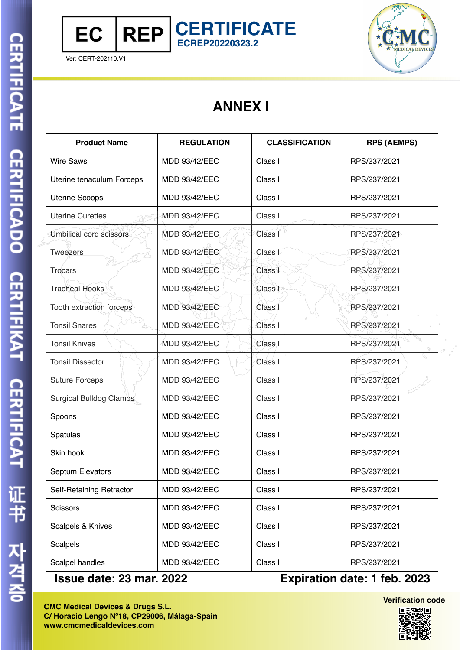

## **ANNEX I**

**CERTIFICATE**

**ECREP20220323.2**

| <b>Product Name</b>       | <b>REGULATION</b>    | <b>CLASSIFICATION</b> | <b>RPS (AEMPS)</b> |
|---------------------------|----------------------|-----------------------|--------------------|
| <b>Wire Saws</b>          | <b>MDD 93/42/EEC</b> | Class I               | RPS/237/2021       |
| Uterine tenaculum Forceps | MDD 93/42/EEC        | Class I               | RPS/237/2021       |
| <b>Uterine Scoops</b>     | <b>MDD 93/42/EEC</b> | Class I               | RPS/237/2021       |
| <b>Uterine Curettes</b>   | MDD 93/42/EEC        | Class I               | RPS/237/2021       |
| Umbilical cord scissors   | MDD 93/42/EEC        | Class I               | RPS/237/2021       |
| <b>Tweezers</b>           | <b>MDD 93/42/EEC</b> | Class <sup>1</sup>    | RPS/237/2021       |
| <b>Trocars</b>            | <b>MDD 93/42/EEC</b> | Class <sup>1</sup>    | RPS/237/2021       |
| <b>Tracheal Hooks</b>     | <b>MDD 93/42/EEC</b> | Class <sup>1</sup>    | RPS/237/2021       |
| Tooth extraction forceps  | MDD 93/42/EEC        | Class I               | RPS/237/2021       |
| <b>Tonsil Snares</b>      | MDD 93/42/EEC        | Class I               | RPS/237/2021       |
| <b>Tonsil Knives</b>      | <b>MDD 93/42/EEC</b> | Class I               | RPS/237/2021       |
| <b>Tonsil Dissector</b>   | <b>MDD 93/42/EEC</b> | Class I               | RPS/237/2021       |
| <b>Suture Forceps</b>     | <b>MDD 93/42/EEC</b> | Class I               | RPS/237/2021       |
| Surgical Bulldog Clamps   | <b>MDD 93/42/EEC</b> | Class I               | RPS/237/2021       |
| Spoons                    | MDD 93/42/EEC        | Class I               | RPS/237/2021       |
| Spatulas                  | MDD 93/42/EEC        | Class I               | RPS/237/2021       |
| Skin hook                 | <b>MDD 93/42/EEC</b> | Class I               | RPS/237/2021       |
| Septum Elevators          | MDD 93/42/EEC        | Class I               | RPS/237/2021       |
| Self-Retaining Retractor  | MDD 93/42/EEC        | Class I               | RPS/237/2021       |
| <b>Scissors</b>           | <b>MDD 93/42/EEC</b> | Class I               | RPS/237/2021       |
| Scalpels & Knives         | <b>MDD 93/42/EEC</b> | Class I               | RPS/237/2021       |
| Scalpels                  | <b>MDD 93/42/EEC</b> | Class I               | RPS/237/2021       |
| Scalpel handles           | <b>MDD 93/42/EEC</b> | Class I               | RPS/237/2021       |

**Issue date: 23 mar. 2022 Expiration date: 1 feb. 2023**

**Verification code**回波黎回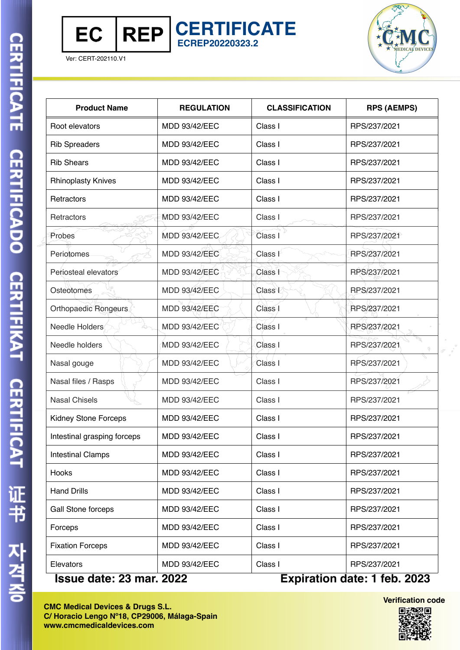



| <b>Product Name</b>         | <b>REGULATION</b>    | <b>CLASSIFICATION</b> | <b>RPS (AEMPS)</b>           |
|-----------------------------|----------------------|-----------------------|------------------------------|
| Root elevators              | <b>MDD 93/42/EEC</b> | Class I               | RPS/237/2021                 |
| <b>Rib Spreaders</b>        | <b>MDD 93/42/EEC</b> | Class I               | RPS/237/2021                 |
| <b>Rib Shears</b>           | <b>MDD 93/42/EEC</b> | Class I               | RPS/237/2021                 |
| <b>Rhinoplasty Knives</b>   | <b>MDD 93/42/EEC</b> | Class I               | RPS/237/2021                 |
| Retractors                  | <b>MDD 93/42/EEC</b> | Class I               | RPS/237/2021                 |
| Retractors                  | <b>MDD 93/42/EEC</b> | Class I               | RPS/237/2021                 |
| Probes                      | <b>MDD 93/42/EEC</b> | Class I               | RPS/237/2021                 |
| Periotomes                  | <b>MDD 93/42/EEC</b> | Class I               | RPS/237/2021                 |
| Periosteal elevators        | <b>MDD 93/42/EEC</b> | Class I               | RPS/237/2021                 |
| Osteotomes                  | <b>MDD 93/42/EEC</b> | Class I               | RPS/237/2021                 |
| Orthopaedic Rongeurs        | <b>MDD 93/42/EEC</b> | Class I               | RPS/237/2021                 |
| Needle Holders              | MDD 93/42/EEC        | Class I               | RPS/237/2021                 |
| Needle holders              | <b>MDD 93/42/EEC</b> | Class I               | RPS/237/2021                 |
| Nasal gouge                 | <b>MDD 93/42/EEC</b> | Class I               | RPS/237/2021                 |
| Nasal files / Rasps         | <b>MDD 93/42/EEC</b> | Class I               | RPS/237/2021                 |
| <b>Nasal Chisels</b>        | <b>MDD 93/42/EEC</b> | Class I               | RPS/237/2021                 |
| <b>Kidney Stone Forceps</b> | <b>MDD 93/42/EEC</b> | Class I               | RPS/237/2021                 |
| Intestinal grasping forceps | <b>MDD 93/42/EEC</b> | Class I               | RPS/237/2021                 |
| <b>Intestinal Clamps</b>    | <b>MDD 93/42/EEC</b> | Class I               | RPS/237/2021                 |
| Hooks                       | <b>MDD 93/42/EEC</b> | Class I               | RPS/237/2021                 |
| <b>Hand Drills</b>          | <b>MDD 93/42/EEC</b> | Class I               | RPS/237/2021                 |
| Gall Stone forceps          | <b>MDD 93/42/EEC</b> | Class I               | RPS/237/2021                 |
| Forceps                     | <b>MDD 93/42/EEC</b> | Class I               | RPS/237/2021                 |
| <b>Fixation Forceps</b>     | <b>MDD 93/42/EEC</b> | Class I               | RPS/237/2021                 |
| Elevators                   | <b>MDD 93/42/EEC</b> | Class I               | RPS/237/2021                 |
| Iceup data: 23 mar 2022     |                      |                       | Evniration date: 1 feb. 2023 |

**CERTIFICATE**

**ECREP20220323.2**

**Issue date: 23 mar. 2022 Expiration date: 1 feb. 2023**

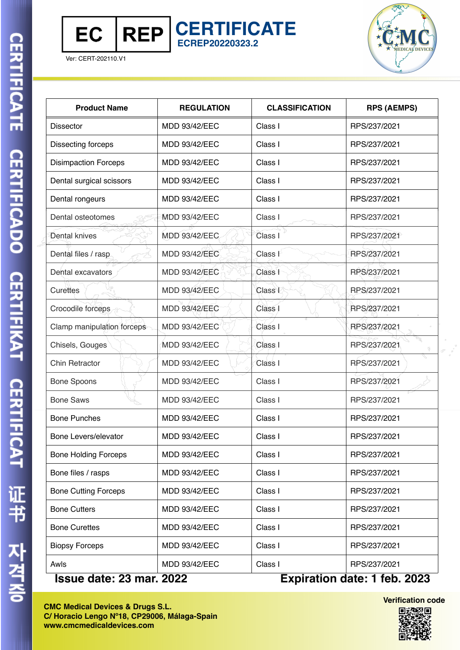

**CERTIFICATE ECREP20220323.2**



Ver: CERT-202110.V1

| <b>Product Name</b>         | <b>REGULATION</b>    | <b>CLASSIFICATION</b> | <b>RPS (AEMPS)</b>          |
|-----------------------------|----------------------|-----------------------|-----------------------------|
| <b>Dissector</b>            | <b>MDD 93/42/EEC</b> | Class I               | RPS/237/2021                |
| Dissecting forceps          | <b>MDD 93/42/EEC</b> | Class I               | RPS/237/2021                |
| <b>Disimpaction Forceps</b> | <b>MDD 93/42/EEC</b> | Class I               | RPS/237/2021                |
| Dental surgical scissors    | MDD 93/42/EEC        | Class I               | RPS/237/2021                |
| Dental rongeurs             | MDD 93/42/EEC        | Class I               | RPS/237/2021                |
| Dental osteotomes           | <b>MDD 93/42/EEC</b> | Class I               | RPS/237/2021                |
| Dental knives               | <b>MDD 93/42/EEC</b> | Class I               | RPS/237/2021                |
| Dental files / rasp         | <b>MDD 93/42/EEC</b> | Class I               | RPS/237/2021                |
| Dental excavators           | <b>MDD 93/42/EEC</b> | Class I               | RPS/237/2021                |
| Curettes                    | <b>MDD 93/42/EEC</b> | Class I               | RPS/237/2021                |
| Crocodile forceps           | <b>MDD 93/42/EEC</b> | Class I               | RPS/237/2021                |
| Clamp manipulation forceps  | MDD 93/42/EEC        | Class I               | RPS/237/2021                |
| Chisels, Gouges             | MDD 93/42/EEC        | Class <sub>I</sub>    | RPS/237/2021                |
| <b>Chin Retractor</b>       | MDD 93/42/EEC        | Class I               | RPS/237/2021                |
| <b>Bone Spoons</b>          | <b>MDD 93/42/EEC</b> | Class I               | RPS/237/2021                |
| <b>Bone Saws</b>            | <b>MDD 93/42/EEC</b> | Class I               | RPS/237/2021                |
| <b>Bone Punches</b>         | MDD 93/42/EEC        | Class I               | RPS/237/2021                |
| Bone Levers/elevator        | <b>MDD 93/42/EEC</b> | Class I               | RPS/237/2021                |
| <b>Bone Holding Forceps</b> | <b>MDD 93/42/EEC</b> | Class I               | RPS/237/2021                |
| Bone files / rasps          | <b>MDD 93/42/EEC</b> | Class I               | RPS/237/2021                |
| <b>Bone Cutting Forceps</b> | <b>MDD 93/42/EEC</b> | Class I               | RPS/237/2021                |
| <b>Bone Cutters</b>         | <b>MDD 93/42/EEC</b> | Class I               | RPS/237/2021                |
| <b>Bone Curettes</b>        | <b>MDD 93/42/EEC</b> | Class I               | RPS/237/2021                |
| <b>Biopsy Forceps</b>       | MDD 93/42/EEC        | Class I               | RPS/237/2021                |
| Awls                        | MDD 93/42/EEC        | Class I               | RPS/237/2021                |
| data: 00 mau                | $\overline{200}$     |                       | Evpiration data: 1 feb 0000 |

**Issue date: 23 mar. 2022 Expiration date: 1 feb. 2023**